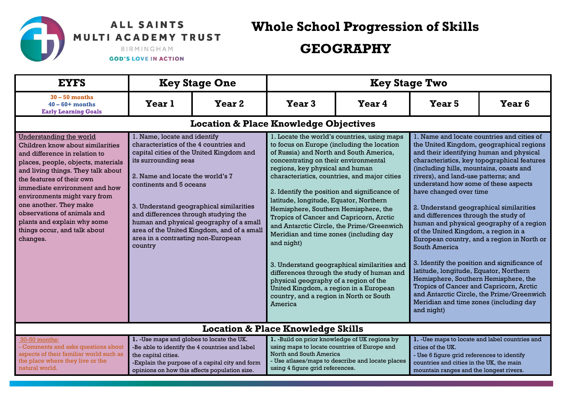## ALL SAINTS MULTI ACADEMY TRUST

**Whole School Progression of Skills** 

## **GEOGRAPHY**

BIRMINGHAM

**GOD'S LOVE IN ACTION** 

| <b>EYFS</b>                                                                                                                                                                                                                                                                                                                                                                                                       | <b>Key Stage One</b>                                                                                                                                                                                                                                                                                                                                                                                                                   |                                                                                                                                                    | <b>Key Stage Two</b>                                                                                                                                        |                                                                                                                                                                                                                                                                                                                                                                                                                                                                                                                                                                                                                                                                                                                                                                                                                    |                                                                                                                                                                                                           |                                                                                                                                                                                                                                                                                                                                                                                                                                                                                                                                                                                                                                                                                                                                                                                                                                                               |  |
|-------------------------------------------------------------------------------------------------------------------------------------------------------------------------------------------------------------------------------------------------------------------------------------------------------------------------------------------------------------------------------------------------------------------|----------------------------------------------------------------------------------------------------------------------------------------------------------------------------------------------------------------------------------------------------------------------------------------------------------------------------------------------------------------------------------------------------------------------------------------|----------------------------------------------------------------------------------------------------------------------------------------------------|-------------------------------------------------------------------------------------------------------------------------------------------------------------|--------------------------------------------------------------------------------------------------------------------------------------------------------------------------------------------------------------------------------------------------------------------------------------------------------------------------------------------------------------------------------------------------------------------------------------------------------------------------------------------------------------------------------------------------------------------------------------------------------------------------------------------------------------------------------------------------------------------------------------------------------------------------------------------------------------------|-----------------------------------------------------------------------------------------------------------------------------------------------------------------------------------------------------------|---------------------------------------------------------------------------------------------------------------------------------------------------------------------------------------------------------------------------------------------------------------------------------------------------------------------------------------------------------------------------------------------------------------------------------------------------------------------------------------------------------------------------------------------------------------------------------------------------------------------------------------------------------------------------------------------------------------------------------------------------------------------------------------------------------------------------------------------------------------|--|
| $30 - 50$ months<br>$40 - 60 +$ months<br><b>Early Learning Goals</b>                                                                                                                                                                                                                                                                                                                                             | Year 1                                                                                                                                                                                                                                                                                                                                                                                                                                 | Year <sub>2</sub>                                                                                                                                  | Year <sub>3</sub>                                                                                                                                           | Year 4                                                                                                                                                                                                                                                                                                                                                                                                                                                                                                                                                                                                                                                                                                                                                                                                             | Year <sub>5</sub>                                                                                                                                                                                         | Year <sub>6</sub>                                                                                                                                                                                                                                                                                                                                                                                                                                                                                                                                                                                                                                                                                                                                                                                                                                             |  |
|                                                                                                                                                                                                                                                                                                                                                                                                                   |                                                                                                                                                                                                                                                                                                                                                                                                                                        |                                                                                                                                                    |                                                                                                                                                             |                                                                                                                                                                                                                                                                                                                                                                                                                                                                                                                                                                                                                                                                                                                                                                                                                    |                                                                                                                                                                                                           |                                                                                                                                                                                                                                                                                                                                                                                                                                                                                                                                                                                                                                                                                                                                                                                                                                                               |  |
| <b>Understanding the world</b><br>Children know about similarities<br>and difference in relation to<br>places, people, objects, materials<br>and living things. They talk about<br>the features of their own<br>immediate environment and how<br>environments might vary from<br>one another. They make<br>observations of animals and<br>plants and explain why some<br>things occur, and talk about<br>changes. | 1. Name, locate and identify<br>characteristics of the 4 countries and<br>capital cities of the United Kingdom and<br>its surrounding seas<br>2. Name and locate the world's 7<br>continents and 5 oceans<br>3. Understand geographical similarities<br>and differences through studying the<br>human and physical geography of a small<br>area of the United Kingdom, and of a small<br>area in a contrasting non-European<br>country |                                                                                                                                                    | and night)<br>America                                                                                                                                       | <b>Location &amp; Place Knowledge Objectives</b><br>1. Locate the world's countries, using maps<br>to focus on Europe (including the location<br>of Russia) and North and South America,<br>concentrating on their environmental<br>regions, key physical and human<br>characteristics, countries, and major cities<br>2. Identify the position and significance of<br>latitude, longitude, Equator, Northern<br>Hemisphere, Southern Hemisphere, the<br>Tropics of Cancer and Capricorn, Arctic<br>and Antarctic Circle, the Prime/Greenwich<br>Meridian and time zones (including day<br>3. Understand geographical similarities and<br>differences through the study of human and<br>physical geography of a region of the<br>United Kingdom, a region in a European<br>country, and a region in North or South |                                                                                                                                                                                                           | 1. Name and locate countries and cities of<br>the United Kingdom, geographical regions<br>and their identifying human and physical<br>characteristics, key topographical features<br>(including hills, mountains, coasts and<br>rivers), and land-use patterns; and<br>understand how some of these aspects<br>have changed over time<br>2. Understand geographical similarities<br>and differences through the study of<br>human and physical geography of a region<br>of the United Kingdom, a region in a<br>European country, and a region in North or<br>South America<br>3. Identify the position and significance of<br>latitude, longitude, Equator, Northern<br>Hemisphere, Southern Hemisphere, the<br>Tropics of Cancer and Capricorn, Arctic<br>and Antarctic Circle, the Prime/Greenwich<br>Meridian and time zones (including day<br>and night) |  |
| <b>Location &amp; Place Knowledge Skills</b>                                                                                                                                                                                                                                                                                                                                                                      |                                                                                                                                                                                                                                                                                                                                                                                                                                        |                                                                                                                                                    |                                                                                                                                                             |                                                                                                                                                                                                                                                                                                                                                                                                                                                                                                                                                                                                                                                                                                                                                                                                                    |                                                                                                                                                                                                           |                                                                                                                                                                                                                                                                                                                                                                                                                                                                                                                                                                                                                                                                                                                                                                                                                                                               |  |
| 30-50 months:<br>Comments and asks questions about<br>aspects of their familiar world such as<br>the place where they live or the<br>natural world.                                                                                                                                                                                                                                                               | 1. - Use maps and globes to locate the UK.<br>the capital cities.                                                                                                                                                                                                                                                                                                                                                                      | -Be able to identify the 4 countries and label<br>-Explain the purpose of a capital city and form<br>opinions on how this affects population size. | 1. -Build on prior knowledge of UK regions by<br>using maps to locate countries of Europe and<br>North and South America<br>using 4 figure grid references. | - Use atlases/maps to describe and locate places                                                                                                                                                                                                                                                                                                                                                                                                                                                                                                                                                                                                                                                                                                                                                                   | 1. - Use maps to locate and label countries and<br>cities of the UK.<br>- Use 6 figure grid references to identify<br>countries and cities in the UK, the main<br>mountain ranges and the longest rivers. |                                                                                                                                                                                                                                                                                                                                                                                                                                                                                                                                                                                                                                                                                                                                                                                                                                                               |  |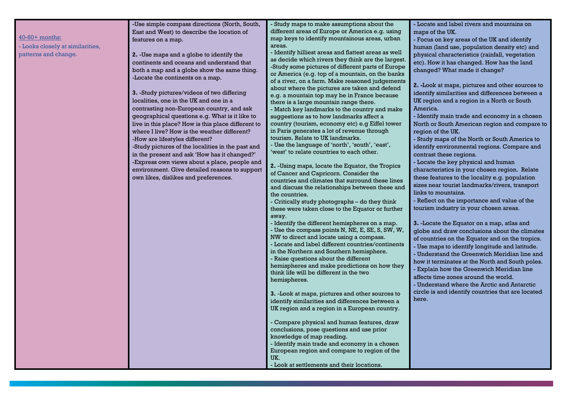| -Use simple compass directions (North, South,<br>- Study maps to make assumptions about the<br>- Locate and label rivers and mountains on                                           |                                                   |
|-------------------------------------------------------------------------------------------------------------------------------------------------------------------------------------|---------------------------------------------------|
|                                                                                                                                                                                     |                                                   |
| different areas of Europe or America e.g. using<br>East and West) to describe the location of<br>maps of the UK.<br>40-60+ months:<br>map keys to identify mountainous areas, urban |                                                   |
| - Focus on key areas of the UK and identify<br>features on a map.<br>areas.                                                                                                         |                                                   |
| - Looks closely at similarities,<br>- Identify hilliest areas and flattest areas as well                                                                                            | human (land use, population density etc) and      |
| patterns and change.<br>2. -Use maps and a globe to identify the<br>physical characteristics (rainfall, vegetation<br>as decide which rivers they think are the largest.            |                                                   |
| continents and oceans and understand that<br>etc). How it has changed. How has the land<br>-Study some pictures of different parts of Europe                                        |                                                   |
| changed? What made it change?<br>both a map and a globe show the same thing.<br>or America (e.g. top of a mountain, on the banks                                                    |                                                   |
| -Locate the continents on a map.<br>of a river, on a farm. Make reasoned judgements                                                                                                 |                                                   |
| about where the pictures are taken and defend                                                                                                                                       | 2. -Look at maps, pictures and other sources to   |
| 3. -Study pictures/videos of two differing<br>e.g. a mountain top may be in France because                                                                                          | identify similarities and differences between a   |
| localities, one in the UK and one in a<br>UK region and a region in a North or South<br>there is a large mountain range there.                                                      |                                                   |
| America.<br>contrasting non-European country, and ask<br>- Match key landmarks to the country and make                                                                              |                                                   |
| geographical questions e.g. What is it like to<br>suggestions as to how landmarks affect a                                                                                          | - Identify main trade and economy in a chosen     |
| live in this place? How is this place different to<br>country (tourism, economy etc) e.g Eiffel tower                                                                               | North or South American region and compare to     |
| in Paris generates a lot of revenue through<br>where I live? How is the weather different?<br>region of the UK.                                                                     |                                                   |
| tourism. Relate to UK landmarks.<br>-How are lifestyles different?                                                                                                                  | - Study maps of the North or South America to     |
| - Use the language of 'north', 'south', 'east',<br>-Study pictures of the localities in the past and                                                                                | identify environmental regions. Compare and       |
| 'west' to relate countries to each other.<br>in the present and ask 'How has it changed?'<br>contrast these regions.                                                                |                                                   |
| -Express own views about a place, people and<br>- Locate the key physical and human                                                                                                 |                                                   |
| 2. - Using maps, locate the Equator, the Tropics<br>environment. Give detailed reasons to support                                                                                   | characteristics in your chosen region. Relate     |
| of Cancer and Capricorn. Consider the                                                                                                                                               |                                                   |
| own likes, dislikes and preferences.<br>these features to the locality e.g. population<br>countries and climates that surround these lines                                          |                                                   |
| and discuss the relationships between these and                                                                                                                                     | sizes near tourist landmarks/rivers, transport    |
| links to mountains.<br>the countries.                                                                                                                                               |                                                   |
| - Reflect on the importance and value of the<br>- Critically study photographs - do they think                                                                                      |                                                   |
| tourism industry in your chosen areas.<br>these were taken close to the Equator or further                                                                                          |                                                   |
| away.                                                                                                                                                                               |                                                   |
| - Identify the different hemispheres on a map.<br>3. -Locate the Equator on a map, atlas and                                                                                        |                                                   |
| - Use the compass points N, NE, E, SE, S, SW, W,                                                                                                                                    | globe and draw conclusions about the climates     |
| NW to direct and locate using a compass.                                                                                                                                            | of countries on the Equator and on the tropics.   |
| - Locate and label different countries/continents                                                                                                                                   | - Use maps to identify longitude and latitude.    |
| in the Northern and Southern hemisphere.                                                                                                                                            | - Understand the Greenwich Meridian line and      |
| - Raise questions about the different                                                                                                                                               | how it terminates at the North and South poles.   |
| hemispheres and make predictions on how they<br>- Explain how the Greenwich Meridian line<br>think life will be different in the two                                                |                                                   |
| affects time zones around the world.                                                                                                                                                |                                                   |
| hemispheres.<br>- Understand where the Arctic and Antarctic                                                                                                                         |                                                   |
| 3. -Look at maps, pictures and other sources to                                                                                                                                     | circle is and identify countries that are located |
| here.<br>identify similarities and differences between a                                                                                                                            |                                                   |
| UK region and a region in a European country.                                                                                                                                       |                                                   |
|                                                                                                                                                                                     |                                                   |
| Compare physical and human features, draw                                                                                                                                           |                                                   |
| conclusions, pose questions and use prior                                                                                                                                           |                                                   |
| knowledge of map reading.                                                                                                                                                           |                                                   |
| - Identify main trade and economy in a chosen                                                                                                                                       |                                                   |
| European region and compare to region of the                                                                                                                                        |                                                   |
| UK.                                                                                                                                                                                 |                                                   |
| - Look at settlements and their locations.                                                                                                                                          |                                                   |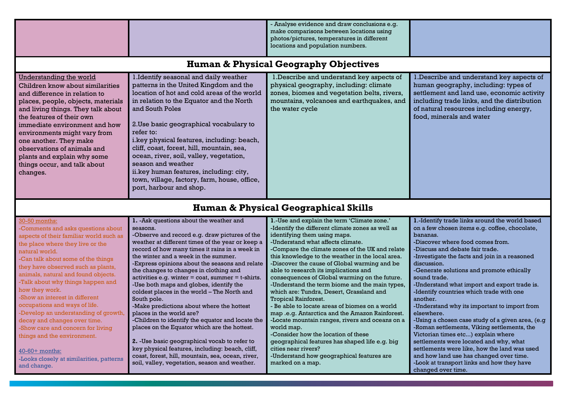|                                                                                                                                                                                                                                                                                                                                                                                                                                                                                                                                                                                                                           |                                                                                                                                                                                                                                                                                                                                                                                                                                                                                                                                                                                                                                                                                                                                                                                                                                                                                                         | - Analyse evidence and draw conclusions e.g.<br>make comparisons between locations using<br>photos/pictures, temperatures in different<br>locations and population numbers.                                                                                                                                                                                                                                                                                                                                                                                                                                                                                                                                                                                                                                                                                                                               |                                                                                                                                                                                                                                                                                                                                                                                                                                                                                                                                                                                                                                                                                                                                                                                                                                         |  |  |  |  |
|---------------------------------------------------------------------------------------------------------------------------------------------------------------------------------------------------------------------------------------------------------------------------------------------------------------------------------------------------------------------------------------------------------------------------------------------------------------------------------------------------------------------------------------------------------------------------------------------------------------------------|---------------------------------------------------------------------------------------------------------------------------------------------------------------------------------------------------------------------------------------------------------------------------------------------------------------------------------------------------------------------------------------------------------------------------------------------------------------------------------------------------------------------------------------------------------------------------------------------------------------------------------------------------------------------------------------------------------------------------------------------------------------------------------------------------------------------------------------------------------------------------------------------------------|-----------------------------------------------------------------------------------------------------------------------------------------------------------------------------------------------------------------------------------------------------------------------------------------------------------------------------------------------------------------------------------------------------------------------------------------------------------------------------------------------------------------------------------------------------------------------------------------------------------------------------------------------------------------------------------------------------------------------------------------------------------------------------------------------------------------------------------------------------------------------------------------------------------|-----------------------------------------------------------------------------------------------------------------------------------------------------------------------------------------------------------------------------------------------------------------------------------------------------------------------------------------------------------------------------------------------------------------------------------------------------------------------------------------------------------------------------------------------------------------------------------------------------------------------------------------------------------------------------------------------------------------------------------------------------------------------------------------------------------------------------------------|--|--|--|--|
|                                                                                                                                                                                                                                                                                                                                                                                                                                                                                                                                                                                                                           | <b>Human &amp; Physical Geography Objectives</b>                                                                                                                                                                                                                                                                                                                                                                                                                                                                                                                                                                                                                                                                                                                                                                                                                                                        |                                                                                                                                                                                                                                                                                                                                                                                                                                                                                                                                                                                                                                                                                                                                                                                                                                                                                                           |                                                                                                                                                                                                                                                                                                                                                                                                                                                                                                                                                                                                                                                                                                                                                                                                                                         |  |  |  |  |
| Understanding the world<br>Children know about similarities<br>and difference in relation to<br>places, people, objects, materials<br>and living things. They talk about<br>the features of their own<br>immediate environment and how<br>environments might vary from<br>one another. They make<br>observations of animals and<br>plants and explain why some<br>things occur, and talk about<br>changes.                                                                                                                                                                                                                | 1. Identify seasonal and daily weather<br>patterns in the United Kingdom and the<br>location of hot and cold areas of the world<br>in relation to the Equator and the North<br>and South Poles<br>2. Use basic geographical vocabulary to<br>refer to:<br>i.key physical features, including: beach,<br>cliff, coast, forest, hill, mountain, sea,<br>ocean, river, soil, valley, vegetation,<br>season and weather<br>ii.key human features, including: city,<br>town, village, factory, farm, house, office,<br>port, harbour and shop.                                                                                                                                                                                                                                                                                                                                                               | 1. Describe and understand key aspects of<br>physical geography, including: climate<br>zones, biomes and vegetation belts, rivers,<br>mountains, volcanoes and earthquakes, and<br>the water cycle                                                                                                                                                                                                                                                                                                                                                                                                                                                                                                                                                                                                                                                                                                        | 1. Describe and understand key aspects of<br>human geography, including: types of<br>settlement and land use, economic activity<br>including trade links, and the distribution<br>of natural resources including energy,<br>food, minerals and water                                                                                                                                                                                                                                                                                                                                                                                                                                                                                                                                                                                    |  |  |  |  |
|                                                                                                                                                                                                                                                                                                                                                                                                                                                                                                                                                                                                                           |                                                                                                                                                                                                                                                                                                                                                                                                                                                                                                                                                                                                                                                                                                                                                                                                                                                                                                         | <b>Human &amp; Physical Geographical Skills</b>                                                                                                                                                                                                                                                                                                                                                                                                                                                                                                                                                                                                                                                                                                                                                                                                                                                           |                                                                                                                                                                                                                                                                                                                                                                                                                                                                                                                                                                                                                                                                                                                                                                                                                                         |  |  |  |  |
| 30-50 months:<br>Comments and asks questions about<br>aspects of their familiar world such as<br>the place where they live or the<br>natural world.<br>-Can talk about some of the things<br>they have observed such as plants,<br>animals, natural and found objects.<br>-Talk about why things happen and<br>how they work.<br>-Show an interest in different<br>occupations and ways of life.<br>-Develop an understanding of growth,<br>decay and changes over time.<br>-Show care and concern for living<br>things and the environment.<br>40-60+ months:<br>-Looks closely at similarities, patterns<br>and change. | 1. - Ask questions about the weather and<br>seasons.<br>-Observe and record e.g. draw pictures of the<br>weather at different times of the year or keep a<br>record of how many times it rains in a week in<br>the winter and a week in the summer.<br>-Express opinions about the seasons and relate<br>the changes to changes in clothing and<br>activities e.g. winter $=$ coat, summer $=$ t-shirts.<br>-Use both maps and globes, identify the<br>coldest places in the world - The North and<br>South pole.<br>-Make predictions about where the hottest<br>places in the world are?<br>-Children to identify the equator and locate the<br>places on the Equator which are the hottest.<br>2. -Use basic geographical vocab to refer to<br>key physical features, including: beach, cliff,<br>coast, forest, hill, mountain, sea, ocean, river,<br>soil, valley, vegetation, season and weather. | 1.-Use and explain the term 'Climate zone.'<br>-Identify the different climate zones as well as<br>identifying them using maps.<br>-Understand what affects climate.<br>-Compare the climate zones of the UK and relate<br>this knowledge to the weather in the local area.<br>-Discover the cause of Global warming and be<br>able to research its implications and<br>consequences of Global warming on the future.<br>-Understand the term biome and the main types,<br>which are: Tundra, Desert, Grassland and<br><b>Tropical Rainforest.</b><br>- Be able to locate areas of biomes on a world<br>map .e.g. Antarctica and the Amazon Rainforest.<br>-Locate mountain ranges, rivers and oceans on a<br>world map.<br>-Consider how the location of these<br>geographical features has shaped life e.g. big<br>cities near rivers?<br>-Understand how geographical features are<br>marked on a map. | 1.-Identify trade links around the world based<br>on a few chosen items e.g. coffee, chocolate,<br>bananas.<br>-Discover where food comes from.<br>-Discuss and debate fair trade.<br>-Investigate the facts and join in a reasoned<br>discussion.<br>-Generate solutions and promote ethically<br>sound trade.<br>-Understand what import and export trade is.<br>-Identify countries which trade with one<br>another.<br>-Understand why its important to import from<br>elsewhere.<br>-Using a chosen case study of a given area, (e.g<br>-Roman settlements, Viking settlements, the<br>Victorian times etc) explain where<br>settlements were located and why, what<br>settlements were like, how the land was used<br>and how land use has changed over time.<br>-Look at transport links and how they have<br>changed over time. |  |  |  |  |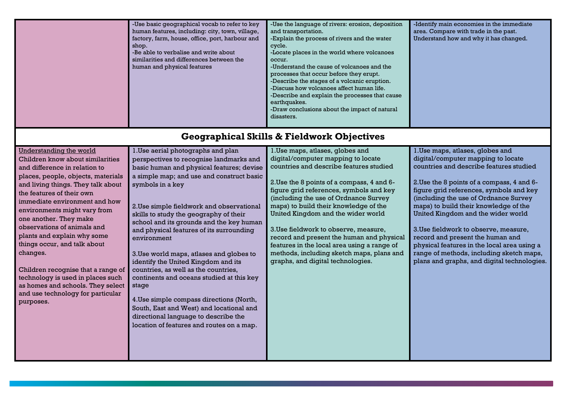|                                                                                                                                                                                                                                                                                                                                                                                                                                                                                                                                                                                     | -Use basic geographical vocab to refer to key<br>human features, including: city, town, village,<br>factory, farm, house, office, port, harbour and<br>shop.<br>-Be able to verbalise and write about<br>similarities and differences between the<br>human and physical features                                                                                                                                                                                                                                                                                                                                                                                                                                                                        | -Use the language of rivers: erosion, deposition<br>and transportation.<br>-Explain the process of rivers and the water<br>cycle.<br>-Locate places in the world where volcanoes<br>occur.<br>-Understand the cause of volcanoes and the<br>processes that occur before they erupt.<br>-Describe the stages of a volcanic eruption.<br>-Discuss how volcanoes affect human life.<br>-Describe and explain the processes that cause<br>earthquakes.<br>-Draw conclusions about the impact of natural<br>disasters.                                         | -Identify main economies in the immediate<br>area. Compare with trade in the past.<br>Understand how and why it has changed.                                                                                                                                                                                                                                                                                                                                                                                                                              |
|-------------------------------------------------------------------------------------------------------------------------------------------------------------------------------------------------------------------------------------------------------------------------------------------------------------------------------------------------------------------------------------------------------------------------------------------------------------------------------------------------------------------------------------------------------------------------------------|---------------------------------------------------------------------------------------------------------------------------------------------------------------------------------------------------------------------------------------------------------------------------------------------------------------------------------------------------------------------------------------------------------------------------------------------------------------------------------------------------------------------------------------------------------------------------------------------------------------------------------------------------------------------------------------------------------------------------------------------------------|-----------------------------------------------------------------------------------------------------------------------------------------------------------------------------------------------------------------------------------------------------------------------------------------------------------------------------------------------------------------------------------------------------------------------------------------------------------------------------------------------------------------------------------------------------------|-----------------------------------------------------------------------------------------------------------------------------------------------------------------------------------------------------------------------------------------------------------------------------------------------------------------------------------------------------------------------------------------------------------------------------------------------------------------------------------------------------------------------------------------------------------|
|                                                                                                                                                                                                                                                                                                                                                                                                                                                                                                                                                                                     |                                                                                                                                                                                                                                                                                                                                                                                                                                                                                                                                                                                                                                                                                                                                                         | <b>Geographical Skills &amp; Fieldwork Objectives</b>                                                                                                                                                                                                                                                                                                                                                                                                                                                                                                     |                                                                                                                                                                                                                                                                                                                                                                                                                                                                                                                                                           |
| <b>Understanding the world</b><br>Children know about similarities<br>and difference in relation to<br>places, people, objects, materials<br>and living things. They talk about<br>the features of their own<br>immediate environment and how<br>environments might vary from<br>one another. They make<br>observations of animals and<br>plants and explain why some<br>things occur, and talk about<br>changes.<br>Children recognise that a range of<br>technology is used in places such<br>as homes and schools. They select<br>and use technology for particular<br>purposes. | 1. Use aerial photographs and plan<br>perspectives to recognise landmarks and<br>basic human and physical features; devise<br>a simple map; and use and construct basic<br>symbols in a key<br>2. Use simple fieldwork and observational<br>skills to study the geography of their<br>school and its grounds and the key human<br>and physical features of its surrounding<br>environment<br>3. Use world maps, atlases and globes to<br>identify the United Kingdom and its<br>countries, as well as the countries,<br>continents and oceans studied at this key<br>stage<br>4. Use simple compass directions (North,<br>South, East and West) and locational and<br>directional language to describe the<br>location of features and routes on a map. | 1. Use maps, atlases, globes and<br>digital/computer mapping to locate<br>countries and describe features studied<br>2. Use the 8 points of a compass, 4 and 6-<br>figure grid references, symbols and key<br>(including the use of Ordnance Survey<br>maps) to build their knowledge of the<br>United Kingdom and the wider world<br>3. Use fieldwork to observe, measure,<br>record and present the human and physical<br>features in the local area using a range of<br>methods, including sketch maps, plans and<br>graphs, and digital technologies. | 1. Use maps, atlases, globes and<br>digital/computer mapping to locate<br>countries and describe features studied<br>2. Use the 8 points of a compass, 4 and 6-<br>figure grid references, symbols and key<br>(including the use of Ordnance Survey<br>maps) to build their knowledge of the<br>United Kingdom and the wider world<br>3. Use fieldwork to observe, measure,<br>record and present the human and<br>physical features in the local area using a<br>range of methods, including sketch maps,<br>plans and graphs, and digital technologies. |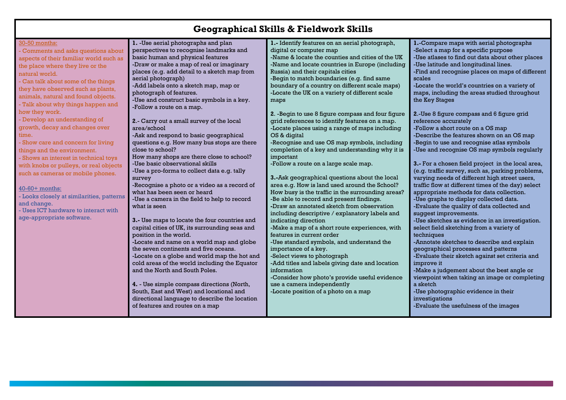| <b>Geographical Skills &amp; Fieldwork Skills</b> |  |  |  |
|---------------------------------------------------|--|--|--|
|---------------------------------------------------|--|--|--|

| 30-50 months:                             | 1. - Use aerial photographs and plan                                                  | 1.- Identify features on an aerial photograph,               | 1.-Compare maps with aerial photographs                                                |
|-------------------------------------------|---------------------------------------------------------------------------------------|--------------------------------------------------------------|----------------------------------------------------------------------------------------|
| Comments and asks questions about         | perspectives to recognise landmarks and                                               | digital or computer map                                      | -Select a map for a specific purpose                                                   |
| aspects of their familiar world such as   | basic human and physical features                                                     | -Name & locate the counties and cities of the UK             | -Use atlases to find out data about other places                                       |
| the place where they live or the          | -Draw or make a map of real or imaginary                                              | -Name and locate countries in Europe (including              | -Use latitude and longitudinal lines.                                                  |
| natural world.                            | places (e.g. add detail to a sketch map from                                          | Russia) and their capitals cities                            | -Find and recognise places on maps of different                                        |
| - Can talk about some of the things       | aerial photograph)                                                                    | -Begin to match boundaries (e.g. find same                   | scales                                                                                 |
| they have observed such as plants,        | -Add labels onto a sketch map, map or                                                 | boundary of a country on different scale maps)               | -Locate the world's countries on a variety of                                          |
| animals, natural and found objects.       | photograph of features.                                                               | -Locate the UK on a variety of different scale               | maps, including the areas studied throughout                                           |
| - Talk about why things happen and        | -Use and construct basic symbols in a key.                                            | maps                                                         | the Key Stages                                                                         |
| how they work.                            | -Follow a route on a map.                                                             |                                                              | 2.-Use 8 figure compass and 6 figure grid                                              |
| - Develop an understanding of             |                                                                                       | 2. -Begin to use 8 figure compass and four figure            |                                                                                        |
| growth, decay and changes over            | 2.- Carry out a small survey of the local<br>area/school                              | grid references to identify features on a map.               | reference accurately                                                                   |
| time.                                     |                                                                                       | -Locate places using a range of maps including               | -Follow a short route on a OS map                                                      |
|                                           | -Ask and respond to basic geographical<br>questions e.g. How many bus stops are there | OS & digital<br>-Recognise and use OS map symbols, including | -Describe the features shown on an OS map<br>-Begin to use and recognise atlas symbols |
| - Show care and concern for living        | close to school?                                                                      | completion of a key and understanding why it is              | -Use and recognise OS map symbols regularly                                            |
| things and the environment.               | How many shops are there close to school?                                             | important                                                    |                                                                                        |
| - Shows an interest in technical toys     | -Use basic observational skills                                                       | -Follow a route on a large scale map.                        | 3.- For a chosen field project in the local area,                                      |
| with knobs or pulleys, or real objects    | -Use a pro-forma to collect data e.g. tally                                           |                                                              | (e.g. traffic survey, such as, parking problems,                                       |
| such as cameras or mobile phones.         | survey                                                                                | 3.-Ask geographical questions about the local                | varying needs of different high street users,                                          |
|                                           | -Recognise a photo or a video as a record of                                          | area e.g. How is land used around the School?                | traffic flow at different times of the day) select                                     |
| 40-60+ months:                            | what has been seen or heard                                                           | How busy is the traffic in the surrounding areas?            | appropriate methods for data collection.                                               |
| - Looks closely at similarities, patterns | -Use a camera in the field to help to record                                          | -Be able to record and present findings.                     | -Use graphs to display collected data.                                                 |
| and change.                               | what is seen                                                                          | -Draw an annotated sketch from observation                   | -Evaluate the quality of data collected and                                            |
| - Uses ICT hardware to interact with      |                                                                                       | including descriptive / explanatory labels and               | suggest improvements.                                                                  |
| age-appropriate software.                 | 3.- Use maps to locate the four countries and                                         | indicating direction                                         | -Use sketches as evidence in an investigation.                                         |
|                                           | capital cities of UK, its surrounding seas and                                        | -Make a map of a short route experiences, with               | select field sketching from a variety of                                               |
|                                           | position in the world.                                                                | features in current order                                    | techniques                                                                             |
|                                           | -Locate and name on a world map and globe                                             | -Use standard symbols, and understand the                    | -Annotate sketches to describe and explain                                             |
|                                           | the seven continents and five oceans.                                                 | importance of a key.                                         | geographical processes and patterns                                                    |
|                                           | -Locate on a globe and world map the hot and                                          | -Select views to photograph                                  | -Evaluate their sketch against set criteria and                                        |
|                                           | cold areas of the world including the Equator                                         | -Add titles and labels giving date and location              | improve it                                                                             |
|                                           | and the North and South Poles.                                                        | information                                                  | -Make a judgement about the best angle or                                              |
|                                           |                                                                                       | -Consider how photo's provide useful evidence                | viewpoint when taking an image or completing                                           |
|                                           | 4. - Use simple compass directions (North,                                            | use a camera independently                                   | a sketch                                                                               |
|                                           | South, East and West) and locational and                                              | -Locate position of a photo on a map                         | -Use photographic evidence in their                                                    |
|                                           | directional language to describe the location                                         |                                                              | investigations                                                                         |
|                                           | of features and routes on a map                                                       |                                                              | -Evaluate the usefulness of the images                                                 |
|                                           |                                                                                       |                                                              |                                                                                        |